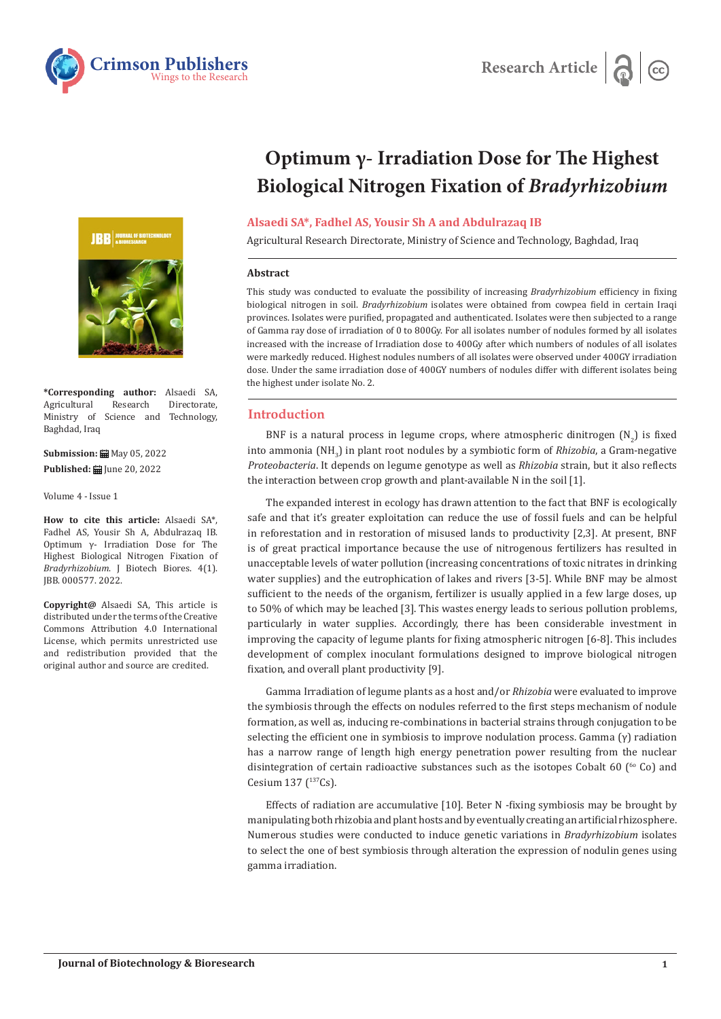



**\*Corresponding author:** Alsaedi SA, Agricultural Research Directorate,<br>Ministry of Science and Technology, Ministry of Science and Baghdad, Iraq

**Submission:** ■ May 05, 2022 **Published: | June 20, 2022** 

Volume 4 - Issue 1

**How to cite this article:** Alsaedi SA\*, Fadhel AS, Yousir Sh A, Abdulrazaq IB. Optimum γ- Irradiation Dose for The Highest Biological Nitrogen Fixation of *Bradyrhizobium*. J Biotech Biores. 4(1). JBB. 000577. 2022.

**Copyright@** Alsaedi SA, This article is distributed under the terms of the Creative Commons Attribution 4.0 International License, which permits unrestricted use and redistribution provided that the original author and source are credited.

# **Optimum γ- Irradiation Dose for The Highest Biological Nitrogen Fixation of** *Bradyrhizobium*

## **Alsaedi SA\*, Fadhel AS, Yousir Sh A and Abdulrazaq IB**

Agricultural Research Directorate, Ministry of Science and Technology, Baghdad, Iraq

#### **Abstract**

This study was conducted to evaluate the possibility of increasing *Bradyrhizobium* efficiency in fixing biological nitrogen in soil. *Bradyrhizobium* isolates were obtained from cowpea field in certain Iraqi provinces. Isolates were purified, propagated and authenticated. Isolates were then subjected to a range of Gamma ray dose of irradiation of 0 to 800Gy. For all isolates number of nodules formed by all isolates increased with the increase of Irradiation dose to 400Gy after which numbers of nodules of all isolates were markedly reduced. Highest nodules numbers of all isolates were observed under 400GY irradiation dose. Under the same irradiation dose of 400GY numbers of nodules differ with different isolates being the highest under isolate No. 2.

## **Introduction**

BNF is a natural process in legume crops, where atmospheric dinitrogen  $(N_2)$  is fixed into ammonia (NH3 ) in plant root nodules by a symbiotic form of *Rhizobia*, a Gram-negative *Proteobacteria*. It depends on legume genotype as well as *Rhizobia* strain, but it also reflects the interaction between crop growth and plant-available N in the soil [1].

The expanded interest in ecology has drawn attention to the fact that BNF is ecologically safe and that it's greater exploitation can reduce the use of fossil fuels and can be helpful in reforestation and in restoration of misused lands to productivity [2,3]. At present, BNF is of great practical importance because the use of nitrogenous fertilizers has resulted in unacceptable levels of water pollution (increasing concentrations of toxic nitrates in drinking water supplies) and the eutrophication of lakes and rivers [3-5]. While BNF may be almost sufficient to the needs of the organism, fertilizer is usually applied in a few large doses, up to 50% of which may be leached [3]. This wastes energy leads to serious pollution problems, particularly in water supplies. Accordingly, there has been considerable investment in improving the capacity of legume plants for fixing atmospheric nitrogen [6-8]. This includes development of complex inoculant formulations designed to improve biological nitrogen fixation, and overall plant productivity [9].

Gamma Irradiation of legume plants as a host and/or *Rhizobia* were evaluated to improve the symbiosis through the effects on nodules referred to the first steps mechanism of nodule formation, as well as, inducing re-combinations in bacterial strains through conjugation to be selecting the efficient one in symbiosis to improve nodulation process. Gamma (γ) radiation has a narrow range of length high energy penetration power resulting from the nuclear disintegration of certain radioactive substances such as the isotopes Cobalt 60 ( $^{60}$  Co) and Cesium 137  $(^{137}Cs)$ .

Effects of radiation are accumulative [10]. Beter N -fixing symbiosis may be brought by manipulating both rhizobia and plant hosts and by eventually creating an artificial rhizosphere. Numerous studies were conducted to induce genetic variations in *Bradyrhizobium* isolates to select the one of best symbiosis through alteration the expression of nodulin genes using gamma irradiation.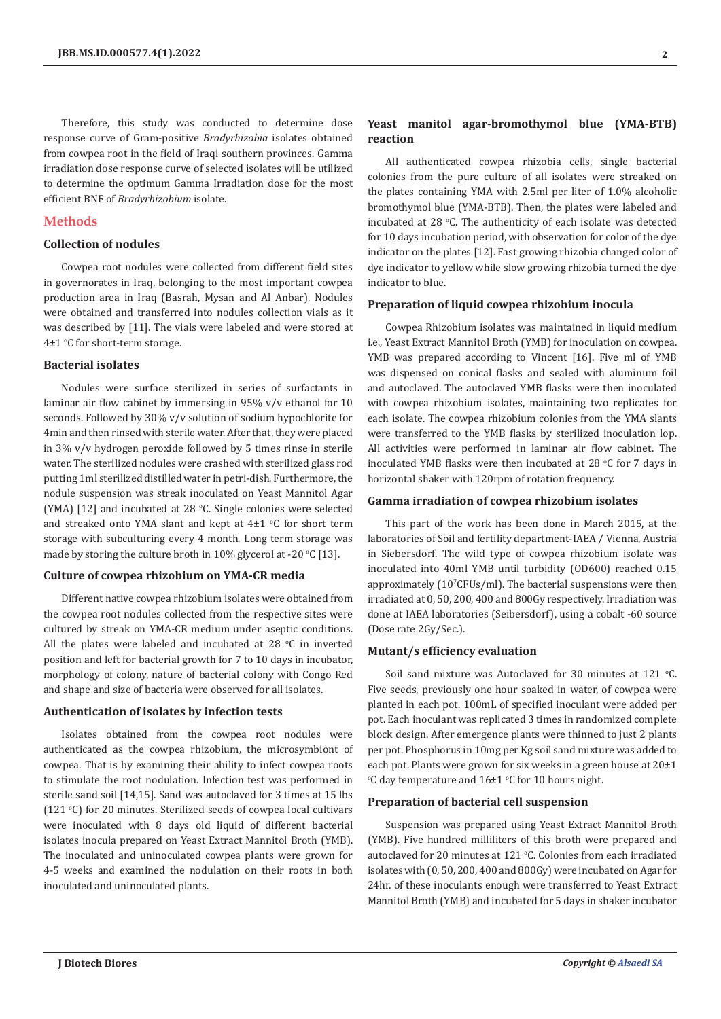Therefore, this study was conducted to determine dose response curve of Gram-positive *Bradyrhizobia* isolates obtained from cowpea root in the field of Iraqi southern provinces. Gamma irradiation dose response curve of selected isolates will be utilized to determine the optimum Gamma Irradiation dose for the most efficient BNF of *Bradyrhizobium* isolate.

## **Methods**

## **Collection of nodules**

Cowpea root nodules were collected from different field sites in governorates in Iraq, belonging to the most important cowpea production area in Iraq (Basrah, Mysan and Al Anbar). Nodules were obtained and transferred into nodules collection vials as it was described by [11]. The vials were labeled and were stored at 4±1 o C for short-term storage.

## **Bacterial isolates**

Nodules were surface sterilized in series of surfactants in laminar air flow cabinet by immersing in 95% v/v ethanol for 10 seconds. Followed by 30% v/v solution of sodium hypochlorite for 4min and then rinsed with sterile water. After that, they were placed in 3% v/v hydrogen peroxide followed by 5 times rinse in sterile water. The sterilized nodules were crashed with sterilized glass rod putting 1ml sterilized distilled water in petri-dish. Furthermore, the nodule suspension was streak inoculated on Yeast Mannitol Agar  $(YMA)$  [12] and incubated at 28 °C. Single colonies were selected and streaked onto YMA slant and kept at  $4\pm 1$  °C for short term storage with subculturing every 4 month. Long term storage was made by storing the culture broth in  $10\%$  glycerol at -20 °C [13].

## **Culture of cowpea rhizobium on YMA-CR media**

Different native cowpea rhizobium isolates were obtained from the cowpea root nodules collected from the respective sites were cultured by streak on YMA-CR medium under aseptic conditions. All the plates were labeled and incubated at  $28 °C$  in inverted position and left for bacterial growth for 7 to 10 days in incubator, morphology of colony, nature of bacterial colony with Congo Red and shape and size of bacteria were observed for all isolates.

#### **Authentication of isolates by infection tests**

Isolates obtained from the cowpea root nodules were authenticated as the cowpea rhizobium, the microsymbiont of cowpea. That is by examining their ability to infect cowpea roots to stimulate the root nodulation. Infection test was performed in sterile sand soil [14,15]. Sand was autoclaved for 3 times at 15 lbs  $(121 \text{ °C})$  for 20 minutes. Sterilized seeds of cowpea local cultivars were inoculated with 8 days old liquid of different bacterial isolates inocula prepared on Yeast Extract Mannitol Broth (YMB). The inoculated and uninoculated cowpea plants were grown for 4-5 weeks and examined the nodulation on their roots in both inoculated and uninoculated plants.

## **Yeast manitol agar-bromothymol blue (YMA-BTB) reaction**

All authenticated cowpea rhizobia cells, single bacterial colonies from the pure culture of all isolates were streaked on the plates containing YMA with 2.5ml per liter of 1.0% alcoholic bromothymol blue (YMA-BTB). Then, the plates were labeled and incubated at 28  $\degree$ C. The authenticity of each isolate was detected for 10 days incubation period, with observation for color of the dye indicator on the plates [12]. Fast growing rhizobia changed color of dye indicator to yellow while slow growing rhizobia turned the dye indicator to blue.

#### **Preparation of liquid cowpea rhizobium inocula**

Cowpea Rhizobium isolates was maintained in liquid medium i.e., Yeast Extract Mannitol Broth (YMB) for inoculation on cowpea. YMB was prepared according to Vincent [16]. Five ml of YMB was dispensed on conical flasks and sealed with aluminum foil and autoclaved. The autoclaved YMB flasks were then inoculated with cowpea rhizobium isolates, maintaining two replicates for each isolate. The cowpea rhizobium colonies from the YMA slants were transferred to the YMB flasks by sterilized inoculation lop. All activities were performed in laminar air flow cabinet. The inoculated YMB flasks were then incubated at 28  $\degree$ C for 7 days in horizontal shaker with 120rpm of rotation frequency.

#### **Gamma irradiation of cowpea rhizobium isolates**

This part of the work has been done in March 2015, at the laboratories of Soil and fertility department-IAEA / Vienna, Austria in Siebersdorf. The wild type of cowpea rhizobium isolate was inoculated into 40ml YMB until turbidity (OD600) reached 0.15 approximately  $(10^{\circ}$ CFUs/ml). The bacterial suspensions were then irradiated at 0, 50, 200, 400 and 800Gy respectively. Irradiation was done at IAEA laboratories (Seibersdorf), using a cobalt -60 source (Dose rate 2Gy/Sec.).

#### **Mutant/s efficiency evaluation**

Soil sand mixture was Autoclaved for 30 minutes at  $121$  °C. Five seeds, previously one hour soaked in water, of cowpea were planted in each pot. 100mL of specified inoculant were added per pot. Each inoculant was replicated 3 times in randomized complete block design. After emergence plants were thinned to just 2 plants per pot. Phosphorus in 10mg per Kg soil sand mixture was added to each pot. Plants were grown for six weeks in a green house at 20±1 °C day temperature and  $16\pm1$  °C for 10 hours night.

#### **Preparation of bacterial cell suspension**

Suspension was prepared using Yeast Extract Mannitol Broth (YMB). Five hundred milliliters of this broth were prepared and autoclaved for 20 minutes at 121 °C. Colonies from each irradiated isolates with (0, 50, 200, 400 and 800Gy) were incubated on Agar for 24hr. of these inoculants enough were transferred to Yeast Extract Mannitol Broth (YMB) and incubated for 5 days in shaker incubator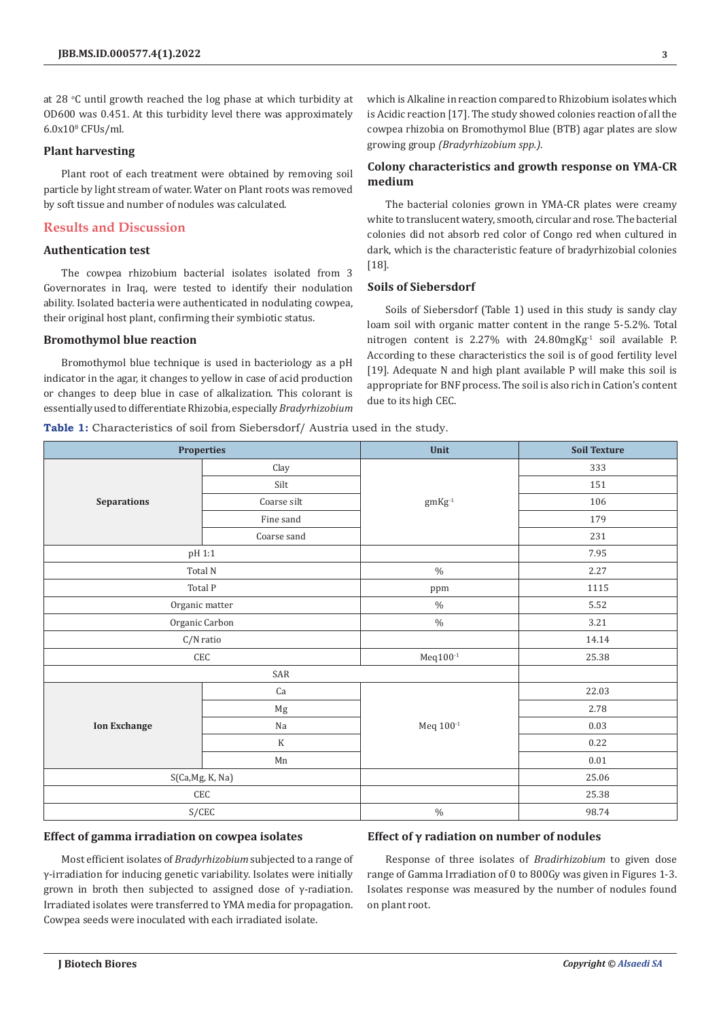**3**

at 28 °C until growth reached the log phase at which turbidity at OD600 was 0.451. At this turbidity level there was approximately  $6.0x10<sup>s</sup>$  CFUs/ml.

## **Plant harvesting**

Plant root of each treatment were obtained by removing soil particle by light stream of water. Water on Plant roots was removed by soft tissue and number of nodules was calculated.

## **Results and Discussion**

## **Authentication test**

The cowpea rhizobium bacterial isolates isolated from 3 Governorates in Iraq, were tested to identify their nodulation ability. Isolated bacteria were authenticated in nodulating cowpea, their original host plant, confirming their symbiotic status.

#### **Bromothymol blue reaction**

Bromothymol blue technique is used in bacteriology as a pH indicator in the agar, it changes to yellow in case of acid production or changes to deep blue in case of alkalization. This colorant is essentially used to differentiate Rhizobia, especially *Bradyrhizobium*

**Table 1:** Characteristics of soil from Siebersdorf/ Austria used in the study.

which is Alkaline in reaction compared to Rhizobium isolates which is Acidic reaction [17]. The study showed colonies reaction of all the cowpea rhizobia on Bromothymol Blue (BTB) agar plates are slow growing group *(Bradyrhizobium spp.)*.

## **Colony characteristics and growth response on YMA-CR medium**

The bacterial colonies grown in YMA-CR plates were creamy white to translucent watery, smooth, circular and rose. The bacterial colonies did not absorb red color of Congo red when cultured in dark, which is the characteristic feature of bradyrhizobial colonies [18].

# **Soils of Siebersdorf**

Soils of Siebersdorf (Table 1) used in this study is sandy clay loam soil with organic matter content in the range 5-5.2%. Total nitrogen content is 2.27% with 24.80mg $Kg^{-1}$  soil available P. According to these characteristics the soil is of good fertility level [19]. Adequate N and high plant available P will make this soil is appropriate for BNF process. The soil is also rich in Cation's content due to its high CEC.

| <b>Properties</b>           |             | Unit                                          | <b>Soil Texture</b> |
|-----------------------------|-------------|-----------------------------------------------|---------------------|
| <b>Separations</b>          | Clay        | $\mathrm{gm}\mathrm{K}\mathrm{g}^{\text{-1}}$ | 333                 |
|                             | Silt        |                                               | 151                 |
|                             | Coarse silt |                                               | 106                 |
|                             | Fine sand   |                                               | 179                 |
|                             | Coarse sand |                                               | 231                 |
| pH 1:1                      |             |                                               | 7.95                |
| Total N                     |             | $\%$                                          | 2.27                |
| Total P                     |             | ppm                                           | 1115                |
| Organic matter              |             | $\%$                                          | 5.52                |
| Organic Carbon              |             | $\%$                                          | 3.21                |
| C/N ratio                   |             |                                               | 14.14               |
| $\ensuremath{\mathsf{CEC}}$ |             | $Meq100^{-1}$                                 | 25.38               |
| SAR                         |             |                                               |                     |
| <b>Ion Exchange</b>         | Ca          | Meq 100-1                                     | 22.03               |
|                             | $_{\rm Mg}$ |                                               | 2.78                |
|                             | Na          |                                               | 0.03                |
|                             | $\mathbf K$ |                                               | 0.22                |
|                             | Mn          |                                               | $0.01\,$            |
| S(Ca, Mg, K, Na)            |             |                                               | 25.06               |
| CEC                         |             |                                               | 25.38               |
| S/CEC                       |             | $\%$                                          | 98.74               |

## **Effect of gamma irradiation on cowpea isolates**

## **Effect of γ radiation on number of nodules**

Most efficient isolates of *Bradyrhizobium* subjected to a range of γ-irradiation for inducing genetic variability. Isolates were initially grown in broth then subjected to assigned dose of γ-radiation. Irradiated isolates were transferred to YMA media for propagation. Cowpea seeds were inoculated with each irradiated isolate.

Response of three isolates of *Bradirhizobium* to given dose range of Gamma Irradiation of 0 to 800Gy was given in Figures 1-3. Isolates response was measured by the number of nodules found on plant root.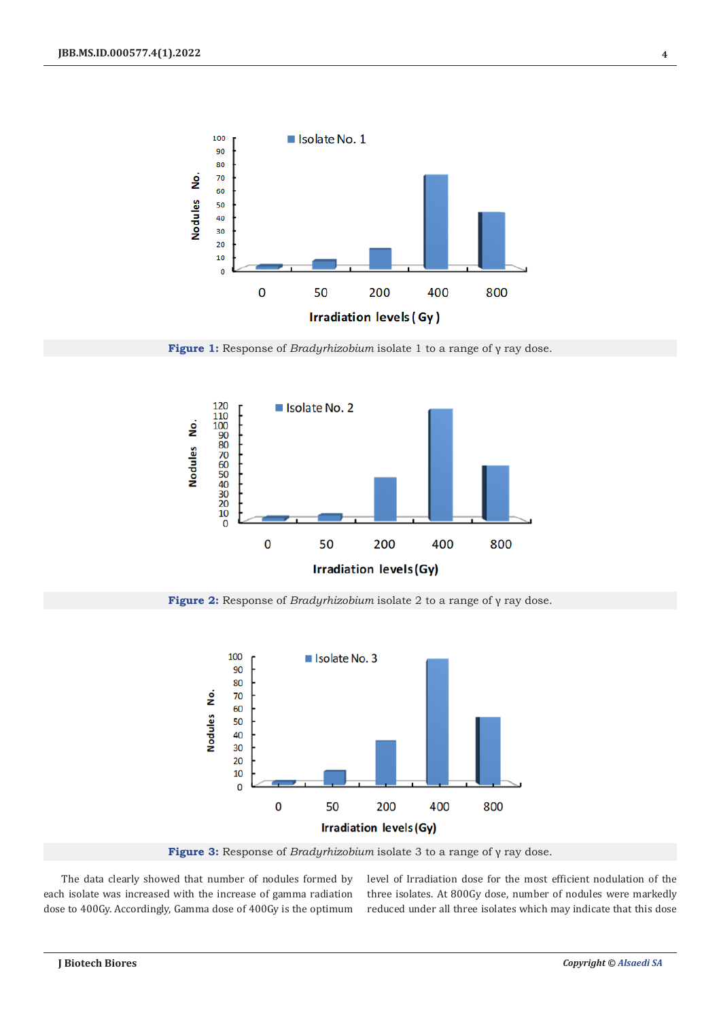

**Figure 1:** Response of *Bradyrhizobium* isolate 1 to a range of γ ray dose.



**Figure 2:** Response of *Bradyrhizobium* isolate 2 to a range of γ ray dose.



**Figure 3:** Response of *Bradyrhizobium* isolate 3 to a range of γ ray dose.

The data clearly showed that number of nodules formed by each isolate was increased with the increase of gamma radiation dose to 400Gy. Accordingly, Gamma dose of 400Gy is the optimum level of Irradiation dose for the most efficient nodulation of the three isolates. At 800Gy dose, number of nodules were markedly reduced under all three isolates which may indicate that this dose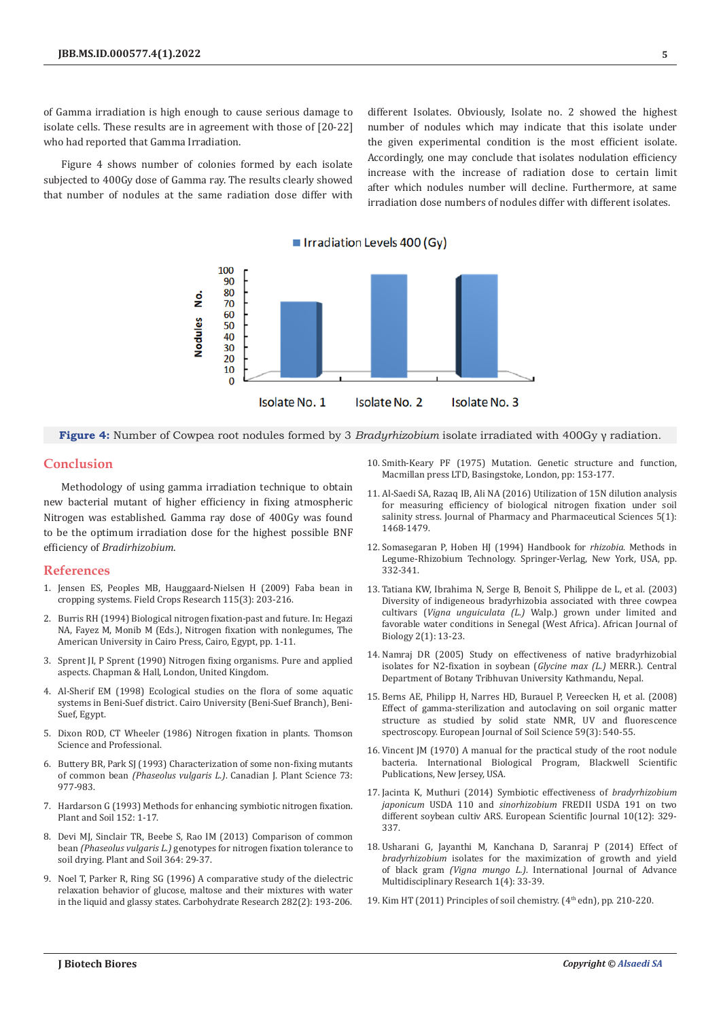of Gamma irradiation is high enough to cause serious damage to isolate cells. These results are in agreement with those of [20-22] who had reported that Gamma Irradiation.

Figure 4 shows number of colonies formed by each isolate subjected to 400Gy dose of Gamma ray. The results clearly showed that number of nodules at the same radiation dose differ with different Isolates. Obviously, Isolate no. 2 showed the highest number of nodules which may indicate that this isolate under the given experimental condition is the most efficient isolate. Accordingly, one may conclude that isolates nodulation efficiency increase with the increase of radiation dose to certain limit after which nodules number will decline. Furthermore, at same irradiation dose numbers of nodules differ with different isolates.



**Figure 4:** Number of Cowpea root nodules formed by 3 *Bradyrhizobium* isolate irradiated with 400Gy γ radiation.

## **Conclusion**

Methodology of using gamma irradiation technique to obtain new bacterial mutant of higher efficiency in fixing atmospheric Nitrogen was established. Gamma ray dose of 400Gy was found to be the optimum irradiation dose for the highest possible BNF efficiency of *Bradirhizobium*.

## **References**

- 1. [Jensen ES, Peoples MB, Hauggaard-Nielsen H \(2009\) Faba bean in](https://www.sciencedirect.com/science/article/abs/pii/S0378429009002755)  [cropping systems. Field Crops Research 115\(3\): 203-216.](https://www.sciencedirect.com/science/article/abs/pii/S0378429009002755)
- 2. Burris RH (1994) Biological nitrogen fixation-past and future. In: Hegazi NA, Fayez M, Monib M (Eds.), Nitrogen fixation with nonlegumes, The American University in Cairo Press, Cairo, Egypt, pp. 1-11.
- 3. Sprent JI, P Sprent (1990) Nitrogen fixing organisms. Pure and applied aspects. Chapman & Hall, London, United Kingdom.
- 4. Al-Sherif EM (1998) Ecological studies on the flora of some aquatic systems in Beni-Suef district. Cairo University (Beni-Suef Branch), Beni-Suef, Egypt.
- 5. Dixon ROD, CT Wheeler (1986) Nitrogen fixation in plants. Thomson Science and Professional.
- 6. [Buttery BR, Park SJ \(1993\) Characterization of some non-fixing mutants](https://cdnsciencepub.com/doi/10.4141/cjps93-128)  of common bean *(Phaseolus vulgaris L.)*[. Canadian J. Plant Science 73:](https://cdnsciencepub.com/doi/10.4141/cjps93-128)  [977-983.](https://cdnsciencepub.com/doi/10.4141/cjps93-128)
- 7. [Hardarson G \(1993\) Methods for enhancing symbiotic nitrogen fixation.](https://link.springer.com/article/10.1007/BF00016329)  [Plant and Soil 152: 1-17.](https://link.springer.com/article/10.1007/BF00016329)
- 8. [Devi MJ, Sinclair TR, Beebe S, Rao IM \(2013\) Comparison of common](https://link.springer.com/article/10.1007/s11104-012-1330-4)  bean *(Phaseolus vulgaris L.)* [genotypes for nitrogen fixation tolerance to](https://link.springer.com/article/10.1007/s11104-012-1330-4)  [soil drying. Plant and Soil 364: 29-37.](https://link.springer.com/article/10.1007/s11104-012-1330-4)
- 9. [Noel T, Parker R, Ring SG \(1996\) A comparative study of the dielectric](https://www.sciencedirect.com/science/article/abs/pii/0008621595003886)  [relaxation behavior of glucose, maltose and their mixtures with water](https://www.sciencedirect.com/science/article/abs/pii/0008621595003886)  [in the liquid and glassy states. Carbohydrate Research 282\(2\): 193-206.](https://www.sciencedirect.com/science/article/abs/pii/0008621595003886)
- 10. Smith-Keary PF (1975) Mutation. Genetic structure and function, Macmillan press LTD, Basingstoke, London, pp: 153-177.
- 11. [Al-Saedi SA, Razaq IB, Ali NA \(2016\) Utilization of 15N dilution analysis](https://storage.googleapis.com/journal-uploads/wjpps/article_issue/1452674684.pdf) [for measuring efficiency of biological nitrogen fixation under soil](https://storage.googleapis.com/journal-uploads/wjpps/article_issue/1452674684.pdf) [salinity stress. Journal of Pharmacy and Pharmaceutical Sciences 5\(1\):](https://storage.googleapis.com/journal-uploads/wjpps/article_issue/1452674684.pdf) [1468-1479.](https://storage.googleapis.com/journal-uploads/wjpps/article_issue/1452674684.pdf)
- 12. Somasegaran P, Hoben HJ (1994) Handbook for *rhizobia*. Methods in Legume-Rhizobium Technology. Springer-Verlag, New York, USA, pp. 332-341.
- 13. [Tatiana KW, Ibrahima N, Serge B, Benoit S, Philippe de L, et al. \(2003\)](https://www.ajol.info/index.php/ajb/article/view/14810) [Diversity of indigeneous bradyrhizobia associated with three cowpea](https://www.ajol.info/index.php/ajb/article/view/14810) cultivars (*Vigna unguiculata (L.)* [Walp.\) grown under limited and](https://www.ajol.info/index.php/ajb/article/view/14810) [favorable water conditions in Senegal \(West Africa\). African Journal of](https://www.ajol.info/index.php/ajb/article/view/14810) [Biology 2\(1\): 13-23.](https://www.ajol.info/index.php/ajb/article/view/14810)
- 14. Namraj DR (2005) Study on effectiveness of native bradyrhizobial isolates for N2-fixation in soybean (*Glycine max (L.)* MERR.). Central Department of Botany Tribhuvan University Kathmandu, Nepal.
- 15. [Berns AE, Philipp H, Narres HD, Burauel P, Vereecken H, et al. \(2008\)](https://bsssjournals.onlinelibrary.wiley.com/doi/full/10.1111/j.1365-2389.2008.01016.x) [Effect of gamma-sterilization and autoclaving on soil organic matter](https://bsssjournals.onlinelibrary.wiley.com/doi/full/10.1111/j.1365-2389.2008.01016.x) [structure as studied by solid state NMR, UV and fluorescence](https://bsssjournals.onlinelibrary.wiley.com/doi/full/10.1111/j.1365-2389.2008.01016.x) [spectroscopy. European Journal of Soil Science 59\(3\): 540-55.](https://bsssjournals.onlinelibrary.wiley.com/doi/full/10.1111/j.1365-2389.2008.01016.x)
- 16. Vincent JM (1970) A manual for the practical study of the root nodule bacteria. International Biological Program, Blackwell Scientific Publications, New Jersey, USA.
- 17. [Jacinta K, Muthuri \(2014\) Symbiotic effectiveness of](https://eujournal.org/index.php/esj/article/view/3184) *bradyrhizobium japonicum* USDA 110 and *sinorhizobium* [FREDII USDA 191 on two](https://eujournal.org/index.php/esj/article/view/3184) [different soybean cultiv ARS. European Scientific Journal 10\(12\): 329-](https://eujournal.org/index.php/esj/article/view/3184) [337.](https://eujournal.org/index.php/esj/article/view/3184)
- 18. [Usharani G, Jayanthi M, Kanchana D, Saranraj P \(2014\) Effect of](https://ijarm.com/pdfcopy/dec2014/ijarm7.pdf) *bradyrhizobium* [isolates for the maximization of growth and yield](https://ijarm.com/pdfcopy/dec2014/ijarm7.pdf) of black gram *(Vigna mungo L.)*[. International Journal of Advance](https://ijarm.com/pdfcopy/dec2014/ijarm7.pdf) [Multidisciplinary Research 1\(4\): 33-39.](https://ijarm.com/pdfcopy/dec2014/ijarm7.pdf)
- 19. Kim HT (2011) Principles of soil chemistry. (4<sup>th</sup> edn), pp. 210-220.